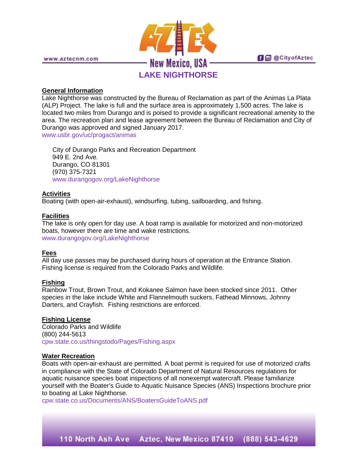

### **General Information**

Lake Nighthorse was constructed by the Bureau of Reclamation as part of the Animas La Plata (ALP) Project. The lake is full and the surface area is approximately 1,500 acres. The lake is located two miles from Durango and is poised to provide a significant recreational amenity to the area. The recreation plan and lease agreement between the Bureau of Reclamation and City of Durango was approved and signed January 2017.

[www.usbr.gov/uc/progact/animas](http://www.usbr.gov/uc/progact/animas/)

City of Durango Parks and Recreation Department 949 E. 2nd Ave. Durango, CO 81301 (970) 375-7321 [www.durangogov.org/LakeNighthorse](http://www.durangogov.org/LakeNighthorse)

# **Activities**

Boating (with open-air-exhaust), windsurfing, tubing, sailboarding, and fishing.

### **Facilities**

The lake is only open for day use. A boat ramp is available for motorized and non-motorized boats, however there are time and wake restrictions. [www.durangogov.org/LakeNighthorse](http://www.durangogov.org/LakeNighthorse)

# **Fees**

All day use passes may be purchased during hours of operation at the Entrance Station. Fishing license is required from the Colorado Parks and Wildlife.

#### **Fishing**

Rainbow Trout, Brown Trout, and Kokanee Salmon have been stocked since 2011. Other species in the lake include White and Flannelmouth suckers, Fathead Minnows, Johnny Darters, and Crayfish. Fishing restrictions are enforced.

# **Fishing License**

Colorado Parks and Wildlife (800) 244-5613 [cpw.state.co.us/thingstodo/Pages/Fishing.aspx](http://cpw.state.co.us/thingstodo/Pages/Fishing.aspx)

#### **Water Recreation**

Boats with open-air-exhaust are permitted. A boat permit is required for use of motorized crafts in compliance with the State of Colorado Department of Natural Resources regulations for aquatic nuisance species boat inspections of all nonexempt watercraft. Please familiarize yourself with the Boater's Guide to Aquatic Nuisance Species (ANS) Inspections brochure prior to boating at Lake Nighthorse.

[cpw.state.co.us/Documents/ANS/BoatersGuideToANS.pdf](http://cpw.state.co.us/Documents/ANS/BoatersGuideToANS.pdf)

110 North Ash Ave Aztec, New Mexico 87410 (888) 543-4629